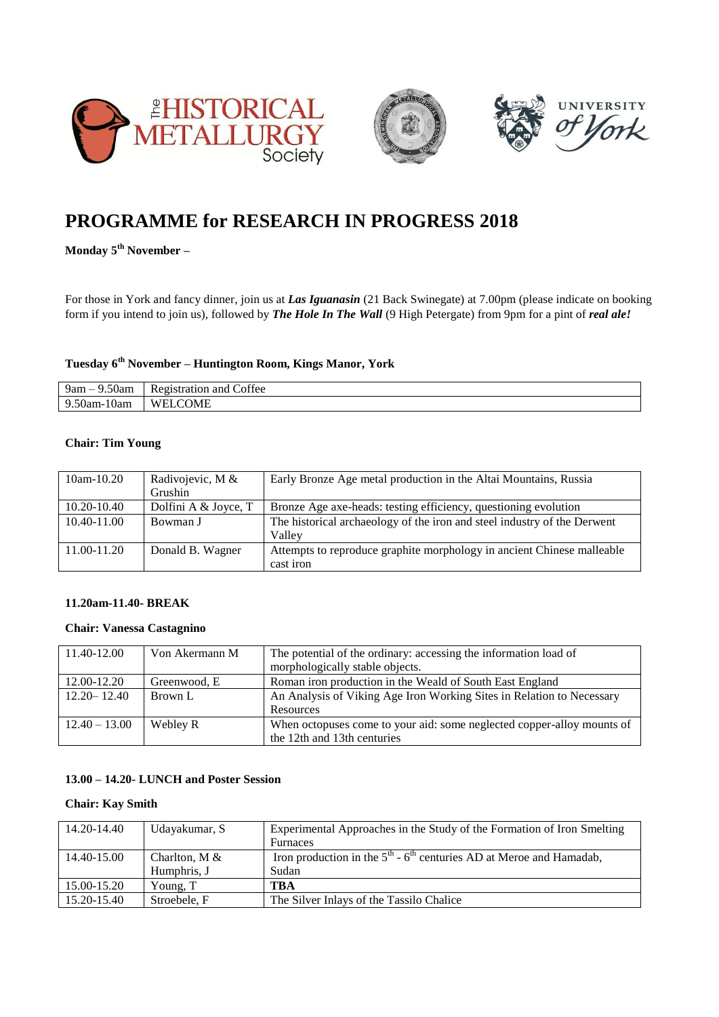





# **PROGRAMME for RESEARCH IN PROGRESS 2018**

**Monday 5th November –**

For those in York and fancy dinner, join us at *Las Iguanasin* (21 Back Swinegate) at 7.00pm (please indicate on booking form if you intend to join us), followed by *The Hole In The Wall* (9 High Petergate) from 9pm for a pint of *real ale!*

# **Tuesday 6th November – Huntington Room, Kings Manor, York**

| $ -$<br>9am –<br>ouam.                    | $\mathcal{C}$<br>offee<br>ation.<br>and<br><b>Contract Contract Contract</b><br>к. |
|-------------------------------------------|------------------------------------------------------------------------------------|
| $\sim$ $\sim$<br>00am-10am<br>u<br>$   -$ | 'OME<br>W<br>' ⊢ !                                                                 |

#### **Chair: Tim Young**

| $10am-10.20$    | Radivojevic, M &     | Early Bronze Age metal production in the Altai Mountains, Russia         |
|-----------------|----------------------|--------------------------------------------------------------------------|
|                 | Grushin              |                                                                          |
| 10.20-10.40     | Dolfini A & Joyce, T | Bronze Age axe-heads: testing efficiency, questioning evolution          |
| $10.40 - 11.00$ | Bowman J             | The historical archaeology of the iron and steel industry of the Derwent |
|                 |                      | Vallev                                                                   |
| 11.00-11.20     | Donald B. Wagner     | Attempts to reproduce graphite morphology in ancient Chinese malleable   |
|                 |                      | cast iron                                                                |

#### **11.20am-11.40- BREAK**

## **Chair: Vanessa Castagnino**

| 11.40-12.00     | Von Akermann M | The potential of the ordinary: accessing the information load of       |
|-----------------|----------------|------------------------------------------------------------------------|
|                 |                | morphologically stable objects.                                        |
| 12.00-12.20     | Greenwood, E   | Roman iron production in the Weald of South East England               |
| $12.20 - 12.40$ | Brown L        | An Analysis of Viking Age Iron Working Sites in Relation to Necessary  |
|                 |                | Resources                                                              |
| $12.40 - 13.00$ | Webley R       | When octopuses come to your aid: some neglected copper-alloy mounts of |
|                 |                | the 12th and 13th centuries                                            |

## **13.00 – 14.20- LUNCH and Poster Session**

#### **Chair: Kay Smith**

| 14.20-14.40 | Udayakumar, S   | Experimental Approaches in the Study of the Formation of Iron Smelting  |
|-------------|-----------------|-------------------------------------------------------------------------|
|             |                 | Furnaces                                                                |
| 14.40-15.00 | Charlton, M $&$ | Iron production in the $5th$ - $6th$ centuries AD at Meroe and Hamadab, |
|             | Humphris, J     | Sudan                                                                   |
| 15.00-15.20 | Young, T        | <b>TBA</b>                                                              |
| 15.20-15.40 | Stroebele, F    | The Silver Inlays of the Tassilo Chalice                                |